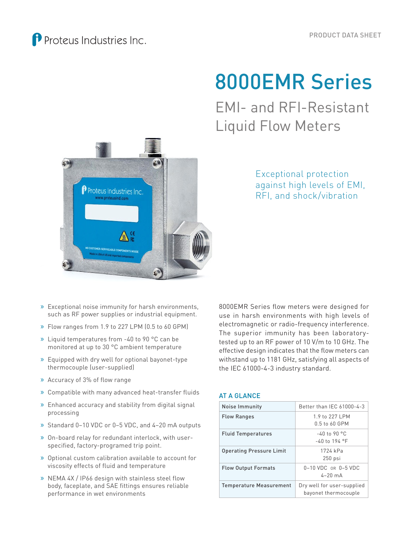# 8000EMR Series

EMI- and RFI-Resistant Liquid Flow Meters



Exceptional protection against high levels of EMI, RFI, and shock/vibration

- » Exceptional noise immunity for harsh environments, such as RF power supplies or industrial equipment.
- » Flow ranges from 1.9 to 227 LPM (0.5 to 60 GPM)
- » Liquid temperatures from -40 to 90 °C can be monitored at up to 30 °C ambient temperature
- » Equipped with dry well for optional bayonet-type thermocouple (user-supplied)
- » Accuracy of 3% of flow range
- » Compatible with many advanced heat-transfer fluids
- » Enhanced accuracy and stability from digital signal processing
- » Standard 0–10 VDC or 0–5 VDC, and 4–20 mA outputs
- » On-board relay for redundant interlock, with userspecified, factory-programed trip point.
- » Optional custom calibration available to account for viscosity effects of fluid and temperature
- » NEMA 4X / IP66 design with stainless steel flow body, faceplate, and SAE fittings ensures reliable performance in wet environments

8000EMR Series flow meters were designed for use in harsh environments with high levels of electromagnetic or radio-frequency interference. The superior immunity has been laboratorytested up to an RF power of 10 V/m to 10 GHz. The effective design indicates that the flow meters can withstand up to 1181 GHz, satisfying all aspects of the IEC 61000-4-3 industry standard.

#### AT A GLANCE

| Noise Immunity                  | Better than IEC 61000-4-3                          |
|---------------------------------|----------------------------------------------------|
| <b>Flow Ranges</b>              | 1.9 to 227 LPM<br>0.5 to 60 GPM                    |
| <b>Fluid Temperatures</b>       | $-40$ to 90 °C<br>$-40$ to 194 °F                  |
| <b>Operating Pressure Limit</b> | 1724 kPa<br>$250$ psi                              |
| <b>Flow Output Formats</b>      | 0-10 VDC OR 0-5 VDC<br>$4-20$ mA                   |
| <b>Temperature Measurement</b>  | Dry well for user-supplied<br>bayonet thermocouple |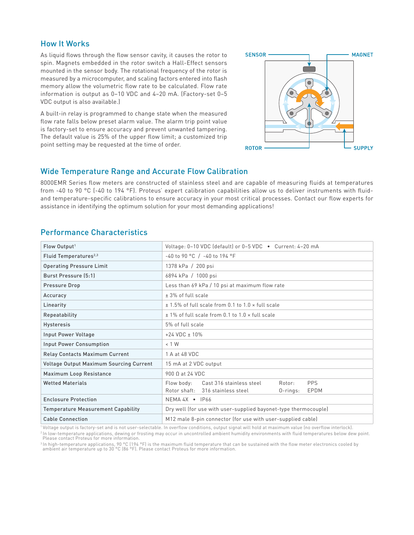#### How It Works

As liquid flows through the flow sensor cavity, it causes the rotor to spin. Magnets embedded in the rotor switch a Hall-Effect sensors mounted in the sensor body. The rotational frequency of the rotor is measured by a microcomputer, and scaling factors entered into flash memory allow the volumetric flow rate to be calculated. Flow rate information is output as 0–10 VDC and 4–20 mA. (Factory-set 0–5 VDC output is also available.)

A built-in relay is programmed to change state when the measured flow rate falls below preset alarm value. The alarm trip point value is factory-set to ensure accuracy and prevent unwanted tampering. The default value is 25% of the upper flow limit; a customized trip point setting may be requested at the time of order.



#### Wide Temperature Range and Accurate Flow Calibration

8000EMR Series flow meters are constructed of stainless steel and are capable of measuring fluids at temperatures from -40 to 90 °C (-40 to 194 °F). Proteus' expert calibration capabilities allow us to deliver instruments with fluidand temperature-specific calibrations to ensure accuracy in your most critical processes. Contact our flow experts for assistance in identifying the optimum solution for your most demanding applications!

### Performance Characteristics

| Flow Output <sup>1</sup>                       | Voltage: 0-10 VDC (default) or 0-5 VDC • Current: 4-20 mA       |  |  |
|------------------------------------------------|-----------------------------------------------------------------|--|--|
| Fluid Temperatures <sup>2,3</sup>              | $-40$ to 90 °C / $-40$ to 194 °F                                |  |  |
| <b>Operating Pressure Limit</b>                | 1378 kPa / 200 psi                                              |  |  |
| Burst Pressure (5:1)                           | 6894 kPa / 1000 psi                                             |  |  |
| Pressure Drop                                  | Less than 69 kPa / 10 psi at maximum flow rate                  |  |  |
| Accuracy                                       | $± 3%$ of full scale                                            |  |  |
| Linearity                                      | $\pm$ 1.5% of full scale from 0.1 to 1.0 $\times$ full scale    |  |  |
| <b>Repeatability</b>                           | $\pm$ 1% of full scale from 0.1 to 1.0 $\times$ full scale      |  |  |
| <b>Hysteresis</b>                              | 5% of full scale                                                |  |  |
| Input Power Voltage                            | $+24$ VDC $\pm$ 10%                                             |  |  |
| <b>Input Power Consumption</b>                 | $< 1$ W                                                         |  |  |
| <b>Relay Contacts Maximum Current</b>          | 1 A at 48 VDC                                                   |  |  |
| <b>Voltage Output Maximum Sourcing Current</b> | 15 mA at 2 VDC output                                           |  |  |
| Maximum Loop Resistance                        | 900 Q at 24 VDC                                                 |  |  |
| <b>Wetted Materials</b>                        | Cast 316 stainless steel<br><b>PPS</b><br>Flow body:<br>Rotor:  |  |  |
|                                                | Rotor shaft: 316 stainless steel<br>$0$ -rings:<br>EPDM         |  |  |
| <b>Enclosure Protection</b>                    | $NEMA 4X \cdot IP66$                                            |  |  |
| <b>Temperature Measurement Capability</b>      | Dry well (for use with user-supplied bayonet-type thermocouple) |  |  |
| <b>Cable Connection</b>                        | M12 male 8-pin connector (for use with user-supplied cable)     |  |  |

1 Voltage output is factory-set and is not user-selectable. In overflow conditions, output signal will hold at maximum value (no overflow interlock). <sup>2</sup> In low-temperature applications, dewing or frosting may occur in uncontrolled ambient humidity environments with fluid temperatures below dew point. Please contact Proteus for more information.

<sup>3</sup> In high-temperature applications, 90 °C (194 °F) is the maximum fluid temperature that can be sustained with the flow meter electronics cooled by ambient air temperature up to 30 °C (86 °F). Please contact Proteus for more information.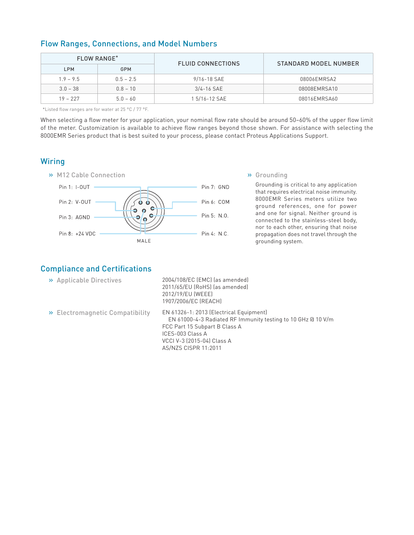| <b>FLOW RANGE*</b> |             | <b>FLUID CONNECTIONS</b> | STANDARD MODEL NUMBER |  |
|--------------------|-------------|--------------------------|-----------------------|--|
| <b>LPM</b>         | GPM         |                          |                       |  |
| $1.9 - 9.5$        | $0.5 - 2.5$ | 9/16-18 SAE              | 08006EMRSA2           |  |
| $3.0 - 38$         | $0.8 - 10$  | $3/4 - 16$ SAE           | 08008EMRSA10          |  |
| $19 - 227$         | $5.0 - 60$  | 1 5/16-12 SAE            | 08016EMRSA60          |  |

### Flow Ranges, Connections, and Model Numbers

\*Listed flow ranges are for water at 25 °C / 77 °F.

When selecting a flow meter for your application, your nominal flow rate should be around 50–60% of the upper flow limit of the meter. Customization is available to achieve flow ranges beyond those shown. For assistance with selecting the 8000EMR Series product that is best suited to your process, please contact Proteus Applications Support.

#### **Wiring**



Grounding is critical to any application that requires electrical noise immunity. 8000EMR Series meters utilize two ground references, one for power and one for signal. Neither ground is connected to the stainless-steel body, nor to each other, ensuring that noise propagation does not travel through the grounding system.

# Compliance and Certifications

| >> Applicable Directives         | 2004/108/EC (EMC) (as amended)<br>2011/65/EU (RoHS) (as amended)<br>2012/19/EU (WEEE)<br>1907/2006/EC (REACH)                                                                                                      |
|----------------------------------|--------------------------------------------------------------------------------------------------------------------------------------------------------------------------------------------------------------------|
| >> Electromagnetic Compatibility | EN 61326-1: 2013 (Electrical Equipment)<br>EN 61000-4-3 Radiated RF Immunity testing to 10 GHz @ 10 V/m<br>FCC Part 15 Subpart B Class A<br>ICES-003 Class A<br>VCCI V-3 (2015-04) Class A<br>AS/NZS CISPR 11:2011 |